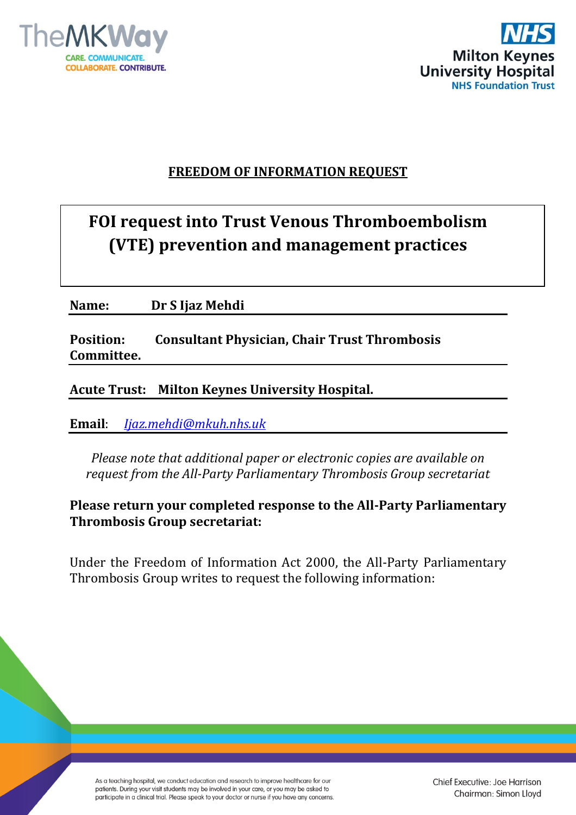



# **FREEDOM OF INFORMATION REQUEST**

# **FOI request into Trust Venous Thromboembolism (VTE) prevention and management practices**

**Name: Dr S Ijaz Mehdi** 

**Position: Consultant Physician, Chair Trust Thrombosis Committee.**

# **Acute Trust: Milton Keynes University Hospital.**

**Email**: *[Ijaz.mehdi@mkuh.nhs.uk](mailto:Ijaz.mehdi@mkuh.nhs.uk)*

*Please note that additional paper or electronic copies are available on request from the All-Party Parliamentary Thrombosis Group secretariat*

**Please return your completed response to the All-Party Parliamentary Thrombosis Group secretariat:**

Under the Freedom of Information Act 2000, the All-Party Parliamentary Thrombosis Group writes to request the following information: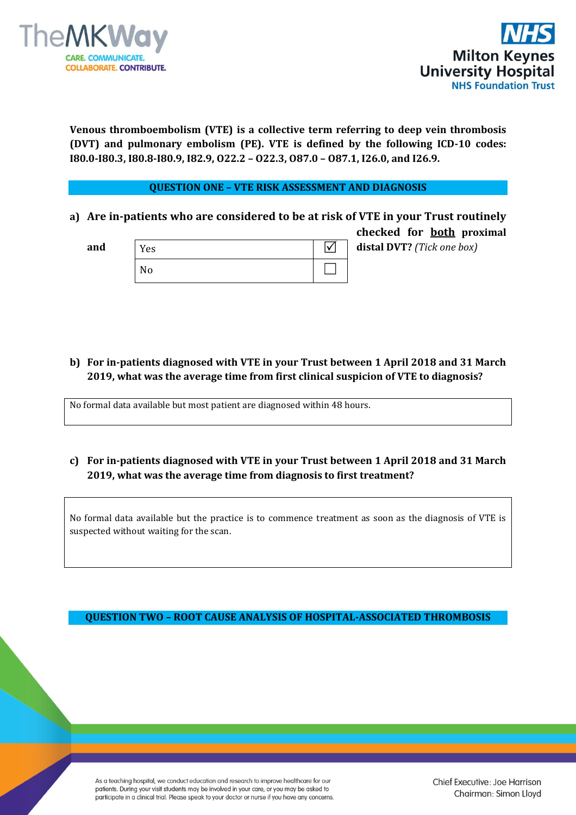



**Venous thromboembolism (VTE) is a collective term referring to deep vein thrombosis (DVT) and pulmonary embolism (PE). VTE is defined by the following ICD-10 codes: I80.0-I80.3, I80.8-I80.9, I82.9, O22.2 – O22.3, O87.0 – O87.1, I26.0, and I26.9.** 

#### **QUESTION ONE – VTE RISK ASSESSMENT AND DIAGNOSIS**

**a) Are in-patients who are considered to be at risk of VTE in your Trust routinely checked for both proximal** 

| and | Yes | distal DVT? (Tick one box) |
|-----|-----|----------------------------|
|     | No  |                            |

**b) For in-patients diagnosed with VTE in your Trust between 1 April 2018 and 31 March 2019, what was the average time from first clinical suspicion of VTE to diagnosis?**

No formal data available but most patient are diagnosed within 48 hours.

**c) For in-patients diagnosed with VTE in your Trust between 1 April 2018 and 31 March 2019, what was the average time from diagnosis to first treatment?**

No formal data available but the practice is to commence treatment as soon as the diagnosis of VTE is suspected without waiting for the scan.

**QUESTION TWO – ROOT CAUSE ANALYSIS OF HOSPITAL-ASSOCIATED THROMBOSIS**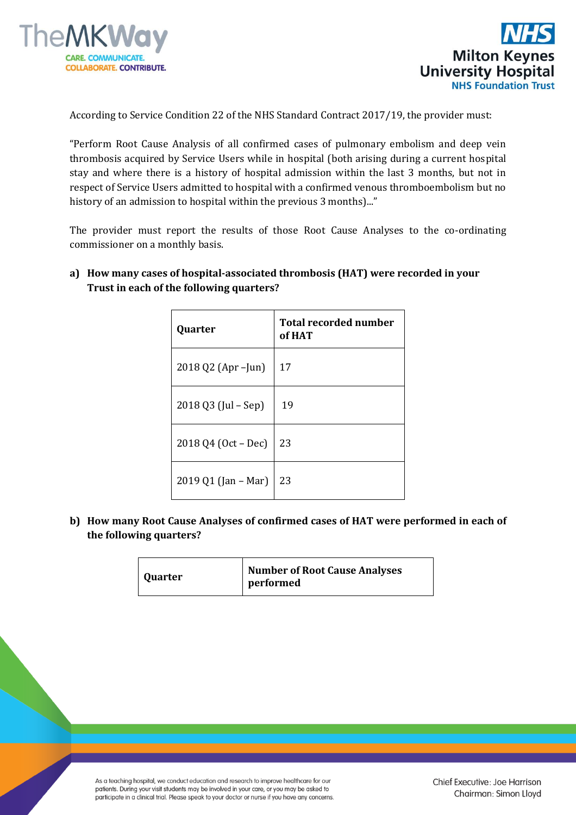



According to Service Condition 22 of the NHS Standard Contract 2017/19, the provider must:

"Perform Root Cause Analysis of all confirmed cases of pulmonary embolism and deep vein thrombosis acquired by Service Users while in hospital (both arising during a current hospital stay and where there is a history of hospital admission within the last 3 months, but not in respect of Service Users admitted to hospital with a confirmed venous thromboembolism but no history of an admission to hospital within the previous 3 months)..."

The provider must report the results of those Root Cause Analyses to the co-ordinating commissioner on a monthly basis.

**a) How many cases of hospital-associated thrombosis (HAT) were recorded in your Trust in each of the following quarters?** 

| Quarter             | <b>Total recorded number</b><br>of HAT |
|---------------------|----------------------------------------|
| 2018 Q2 (Apr – Jun) | 17                                     |
| 2018 Q3 (Jul – Sep) | 19                                     |
| 2018 Q4 (Oct – Dec) | 23                                     |
| 2019 Q1 (Jan – Mar) | 23                                     |

**b) How many Root Cause Analyses of confirmed cases of HAT were performed in each of the following quarters?**

| Quarter | <b>Number of Root Cause Analyses</b><br>performed |
|---------|---------------------------------------------------|
|---------|---------------------------------------------------|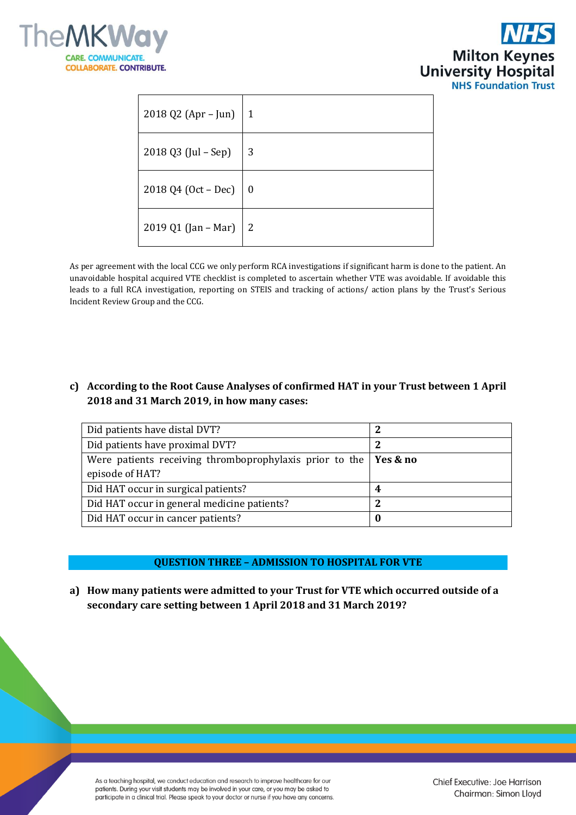



| 2018 Q2 (Apr – Jun)                 | $\vert 1 \vert$ |
|-------------------------------------|-----------------|
| 2018 Q3 (Jul - Sep)                 | -3              |
| 2018 Q4 (Oct – Dec) $\vert 0 \vert$ |                 |
| 2019 Q1 (Jan – Mar)   2             |                 |

As per agreement with the local CCG we only perform RCA investigations if significant harm is done to the patient. An unavoidable hospital acquired VTE checklist is completed to ascertain whether VTE was avoidable. If avoidable this leads to a full RCA investigation, reporting on STEIS and tracking of actions/ action plans by the Trust's Serious Incident Review Group and the CCG.

## **c) According to the Root Cause Analyses of confirmed HAT in your Trust between 1 April 2018 and 31 March 2019, in how many cases:**

| Did patients have distal DVT?                           |          |
|---------------------------------------------------------|----------|
| Did patients have proximal DVT?                         | 2        |
| Were patients receiving thromboprophylaxis prior to the | Yes & no |
| episode of HAT?                                         |          |
| Did HAT occur in surgical patients?                     | 4        |
| Did HAT occur in general medicine patients?             | ּ י      |
| Did HAT occur in cancer patients?                       |          |

#### **QUESTION THREE – ADMISSION TO HOSPITAL FOR VTE**

**a) How many patients were admitted to your Trust for VTE which occurred outside of a secondary care setting between 1 April 2018 and 31 March 2019?**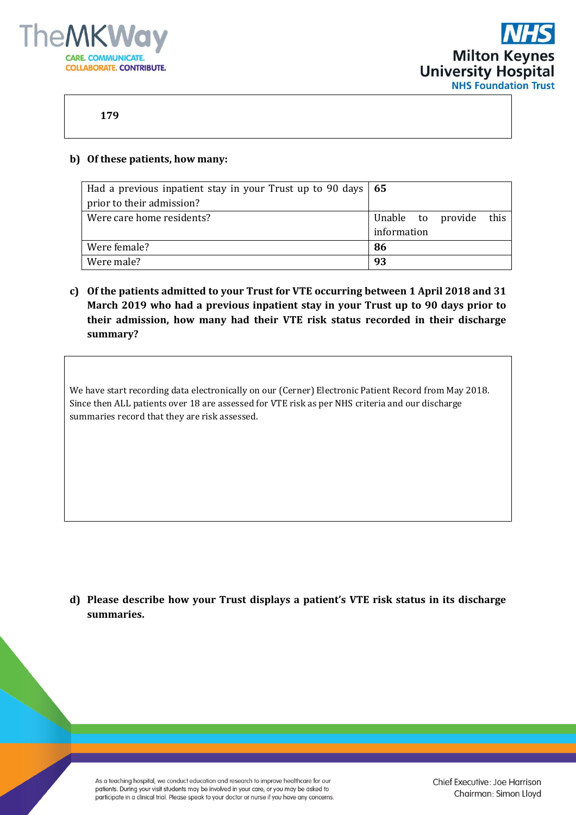



## **179**

#### **b) Of these patients, how many:**

| Had a previous inpatient stay in your Trust up to 90 days $\vert$ 65 |                            |
|----------------------------------------------------------------------|----------------------------|
| prior to their admission?                                            |                            |
| Were care home residents?                                            | this.<br>Unable to provide |
|                                                                      | information                |
| Were female?                                                         | 86                         |
| Were male?                                                           | 93                         |

**c) Of the patients admitted to your Trust for VTE occurring between 1 April 2018 and 31 March 2019 who had a previous inpatient stay in your Trust up to 90 days prior to their admission, how many had their VTE risk status recorded in their discharge summary?**

We have start recording data electronically on our (Cerner) Electronic Patient Record from May 2018. Since then ALL patients over 18 are assessed for VTE risk as per NHS criteria and our discharge summaries record that they are risk assessed.

**d) Please describe how your Trust displays a patient's VTE risk status in its discharge summaries.**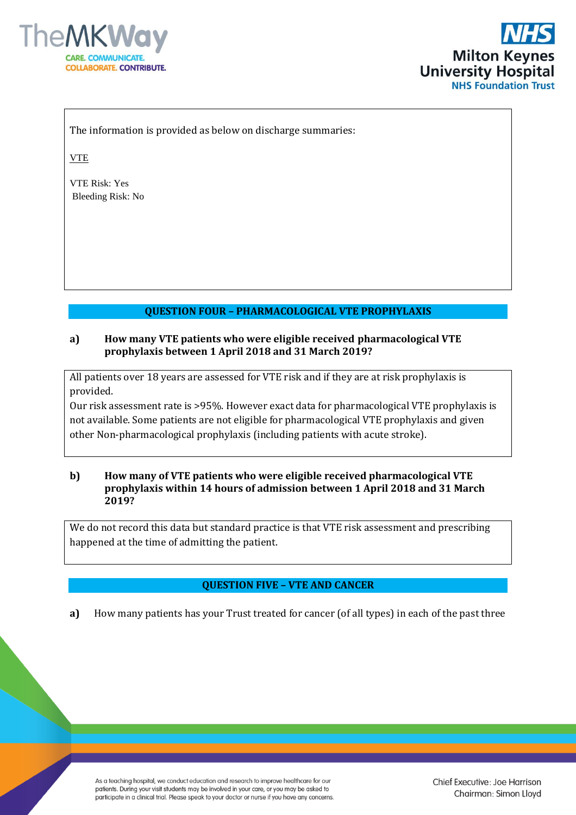



The information is provided as below on discharge summaries:

VTE

VTE Risk: Yes Bleeding Risk: No

# **QUESTION FOUR – PHARMACOLOGICAL VTE PROPHYLAXIS**

#### **a) How many VTE patients who were eligible received pharmacological VTE prophylaxis between 1 April 2018 and 31 March 2019?**

All patients over 18 years are assessed for VTE risk and if they are at risk prophylaxis is provided.

Our risk assessment rate is >95%. However exact data for pharmacological VTE prophylaxis is not available. Some patients are not eligible for pharmacological VTE prophylaxis and given other Non-pharmacological prophylaxis (including patients with acute stroke).

#### **b) How many of VTE patients who were eligible received pharmacological VTE prophylaxis within 14 hours of admission between 1 April 2018 and 31 March 2019?**

We do not record this data but standard practice is that VTE risk assessment and prescribing happened at the time of admitting the patient.

## **QUESTION FIVE – VTE AND CANCER**

**a)** How many patients has your Trust treated for cancer (of all types) in each of the past three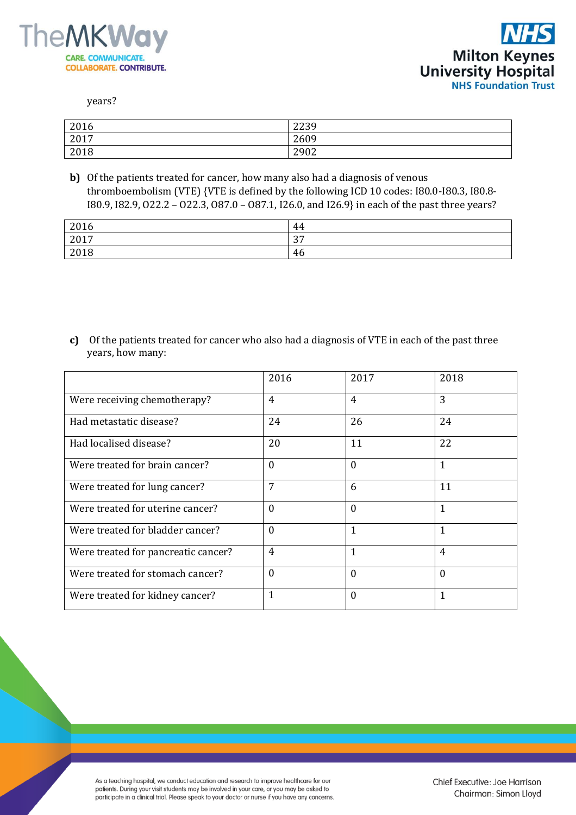



years?

| 2016 | 2239 |
|------|------|
| 2017 | 2609 |
| 2018 | 2902 |

**b)** Of the patients treated for cancer, how many also had a diagnosis of venous thromboembolism (VTE) {VTE is defined by the following ICD 10 codes: I80.0-I80.3, I80.8- I80.9, I82.9, O22.2 – O22.3, O87.0 – O87.1, I26.0, and I26.9} in each of the past three years?

| 2016          | 44               |
|---------------|------------------|
| $2017$<br>201 | $\Omega$<br>ຸບ / |
| 2018          | 46               |

**c)** Of the patients treated for cancer who also had a diagnosis of VTE in each of the past three years, how many:

|                                     | 2016             | 2017           | 2018           |
|-------------------------------------|------------------|----------------|----------------|
| Were receiving chemotherapy?        | $\overline{4}$   | $\overline{4}$ | 3              |
| Had metastatic disease?             | 24               | 26             | 24             |
| Had localised disease?              | 20               | 11             | 22             |
| Were treated for brain cancer?      | $\Omega$         | $\Omega$       | $\mathbf{1}$   |
| Were treated for lung cancer?       | 7                | 6              | 11             |
| Were treated for uterine cancer?    | $\boldsymbol{0}$ | $\Omega$       | $\mathbf{1}$   |
| Were treated for bladder cancer?    | $\theta$         | $\mathbf{1}$   | $\mathbf{1}$   |
| Were treated for pancreatic cancer? | 4                | 1              | $\overline{4}$ |
| Were treated for stomach cancer?    | $\Omega$         | $\Omega$       | $\Omega$       |
| Were treated for kidney cancer?     | 1                | $\Omega$       | $\overline{1}$ |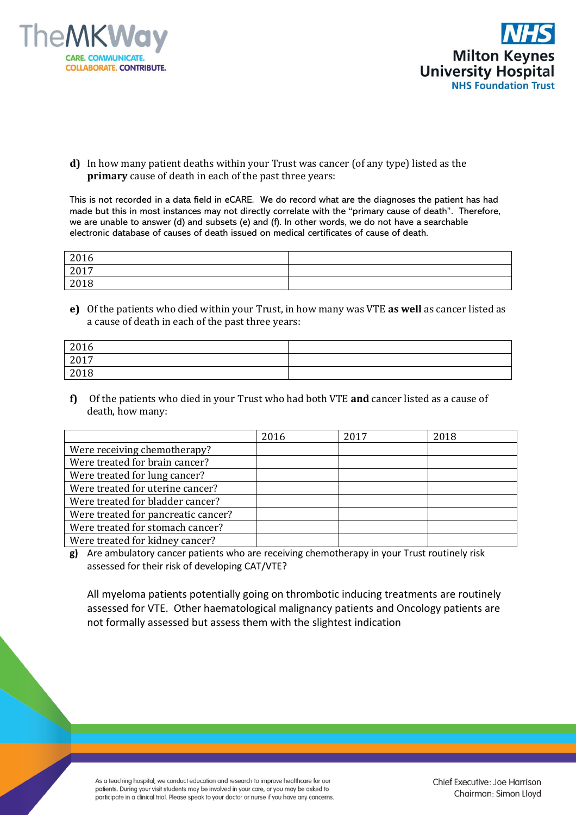



**d)** In how many patient deaths within your Trust was cancer (of any type) listed as the **primary** cause of death in each of the past three years:

This is not recorded in a data field in eCARE. We do record what are the diagnoses the patient has had made but this in most instances may not directly correlate with the "primary cause of death". Therefore, we are unable to answer (d) and subsets (e) and (f). In other words, we do not have a searchable electronic database of causes of death issued on medical certificates of cause of death.

| 2016 |  |
|------|--|
| 2017 |  |
| 2018 |  |

**e)** Of the patients who died within your Trust, in how many was VTE **as well** as cancer listed as a cause of death in each of the past three years:

| 2016 |  |
|------|--|
| 2017 |  |
| 2018 |  |

**f)** Of the patients who died in your Trust who had both VTE **and** cancer listed as a cause of death, how many:

|                                     | 2016 | 2017 | 2018 |
|-------------------------------------|------|------|------|
| Were receiving chemotherapy?        |      |      |      |
| Were treated for brain cancer?      |      |      |      |
| Were treated for lung cancer?       |      |      |      |
| Were treated for uterine cancer?    |      |      |      |
| Were treated for bladder cancer?    |      |      |      |
| Were treated for pancreatic cancer? |      |      |      |
| Were treated for stomach cancer?    |      |      |      |
| Were treated for kidney cancer?     |      |      |      |

**g)** Are ambulatory cancer patients who are receiving chemotherapy in your Trust routinely risk assessed for their risk of developing CAT/VTE?

All myeloma patients potentially going on thrombotic inducing treatments are routinely assessed for VTE. Other haematological malignancy patients and Oncology patients are not formally assessed but assess them with the slightest indication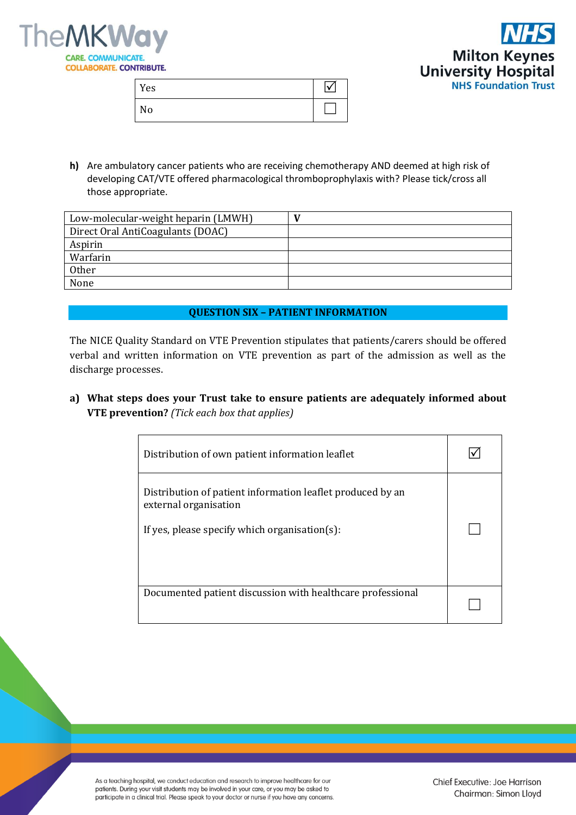



| Yes |  |
|-----|--|
| No  |  |

**h)** Are ambulatory cancer patients who are receiving chemotherapy AND deemed at high risk of developing CAT/VTE offered pharmacological thromboprophylaxis with? Please tick/cross all those appropriate.

| Low-molecular-weight heparin (LMWH) |  |
|-------------------------------------|--|
| Direct Oral AntiCoagulants (DOAC)   |  |
| Aspirin                             |  |
| Warfarin                            |  |
| <b>Other</b>                        |  |
| None                                |  |

#### **QUESTION SIX – PATIENT INFORMATION**

The NICE Quality Standard on VTE Prevention stipulates that patients/carers should be offered verbal and written information on VTE prevention as part of the admission as well as the discharge processes.

**a) What steps does your Trust take to ensure patients are adequately informed about VTE prevention?** *(Tick each box that applies)*

| Distribution of own patient information leaflet                                                                                      |  |
|--------------------------------------------------------------------------------------------------------------------------------------|--|
| Distribution of patient information leaflet produced by an<br>external organisation<br>If yes, please specify which organisation(s): |  |
| Documented patient discussion with healthcare professional                                                                           |  |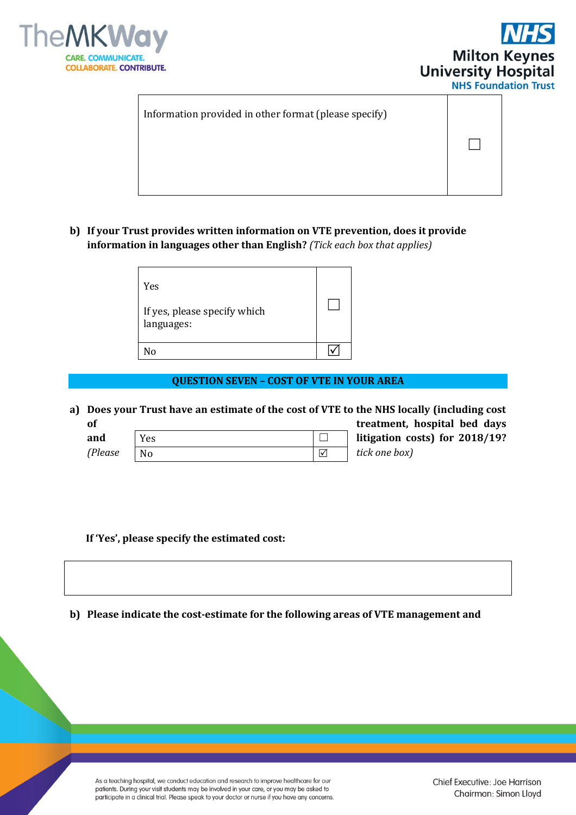



 $\Box$ 

Information provided in other format (please specify)

**b) If your Trust provides written information on VTE prevention, does it provide information in languages other than English?** *(Tick each box that applies)*

| Yes                                        |  |
|--------------------------------------------|--|
| If yes, please specify which<br>languages: |  |
| N٥                                         |  |
|                                            |  |

#### **QUESTION SEVEN – COST OF VTE IN YOUR AREA**

**a) Does your Trust have an estimate of the cost of VTE to the NHS locally (including cost of treatment, hospital bed days** 

| and     | es |  |
|---------|----|--|
| (Please | No |  |

**and litigation costs) for 2018/19?**  *(Please tick one box)*

 **If 'Yes', please specify the estimated cost:** 

**b) Please indicate the cost-estimate for the following areas of VTE management and**